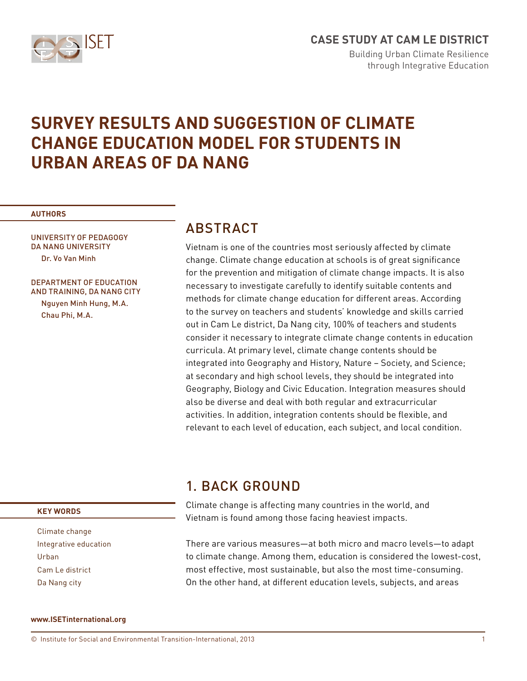

# **CASE STUDY AT CAM LE DISTRICT**

Building Urban Climate Resilience through Integrative Education

# **SURVEY RESULTS AND SUGGESTION OF CLIMATE CHANGE EDUCATION MODEL FOR STUDENTS IN URBAN AREAS OF DA NANG**

#### **AUTHORS**

UNIVERSITY OF PEDAGOGY DA NANG UNIVERSITY Dr. Vo Van Minh

#### DEPARTMENT OF EDUCATION AND TRAINING, DA NANG CITY Nguyen Minh Hung, M.A.

Chau Phi, M.A.

## **ABSTRACT**

Vietnam is one of the countries most seriously affected by climate change. Climate change education at schools is of great significance for the prevention and mitigation of climate change impacts. It is also necessary to investigate carefully to identify suitable contents and methods for climate change education for different areas. According to the survey on teachers and students' knowledge and skills carried out in Cam Le district, Da Nang city, 100% of teachers and students consider it necessary to integrate climate change contents in education curricula. At primary level, climate change contents should be integrated into Geography and History, Nature – Society, and Science; at secondary and high school levels, they should be integrated into Geography, Biology and Civic Education. Integration measures should also be diverse and deal with both regular and extracurricular activities. In addition, integration contents should be flexible, and relevant to each level of education, each subject, and local condition.

## 1. BACK GROUND

Climate change is affecting many countries in the world, and Vietnam is found among those facing heaviest impacts.

There are various measures—at both micro and macro levels—to adapt to climate change. Among them, education is considered the lowest-cost, most effective, most sustainable, but also the most time-consuming. On the other hand, at different education levels, subjects, and areas

#### **KEY WORDS**

Climate change Integrative education Urban Cam Le district Da Nang city

#### **www.ISETinternational.org**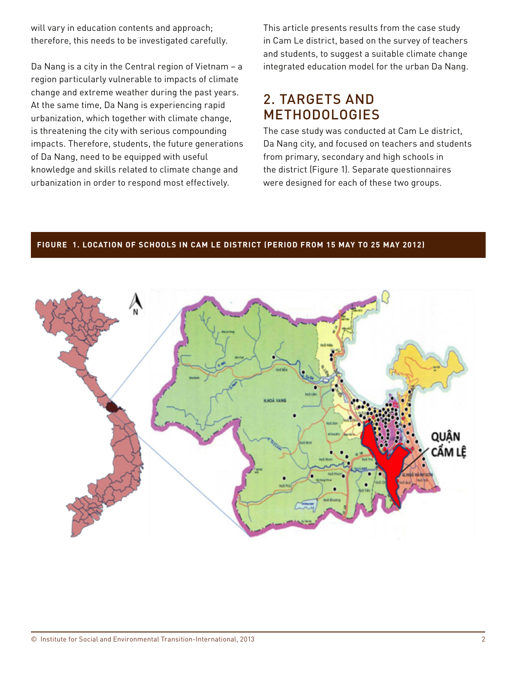will vary in education contents and approach; therefore, this needs to be investigated carefully.

Da Nang is a city in the Central region of Vietnam – a region particularly vulnerable to impacts of climate change and extreme weather during the past years. At the same time, Da Nang is experiencing rapid urbanization, which together with climate change, is threatening the city with serious compounding impacts. Therefore, students, the future generations of Da Nang, need to be equipped with useful knowledge and skills related to climate change and urbanization in order to respond most effectively.

This article presents results from the case study in Cam Le district, based on the survey of teachers and students, to suggest a suitable climate change integrated education model for the urban Da Nang.

## 2. TARGETS AND **METHODOLOGIES**

The case study was conducted at Cam Le district, Da Nang city, and focused on teachers and students from primary, secondary and high schools in the district (Figure 1). Separate questionnaires were designed for each of these two groups.

#### **Figure 1. LOCATION OF SCHOOLS IN CAM LE DISTRICT (PERIOD FROM 15 MAY TO 25 MAY 2012)**

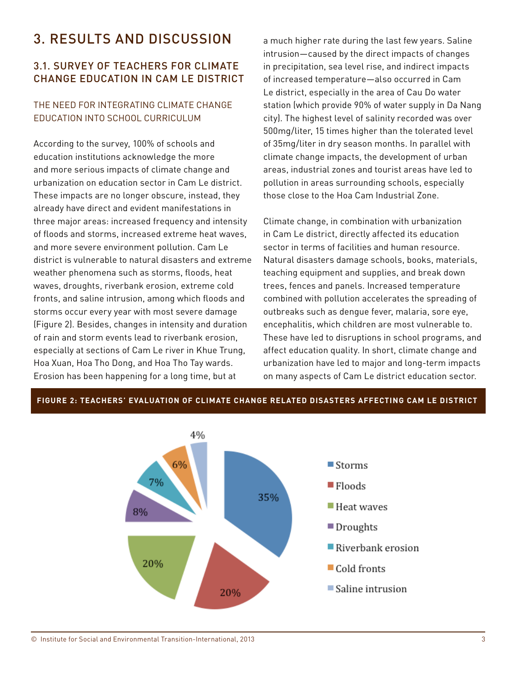# 3. RESULTS AND DISCUSSION

## 3.1. SURVEY OF TEACHERS FOR CLIMATE CHANGE EDUCATION IN CAM LE DISTRICT

## THE NEED FOR INTEGRATING CLIMATE CHANGE EDUCATION INTO SCHOOL CURRICULUM

According to the survey, 100% of schools and education institutions acknowledge the more and more serious impacts of climate change and urbanization on education sector in Cam Le district. These impacts are no longer obscure, instead, they already have direct and evident manifestations in three major areas: increased frequency and intensity of floods and storms, increased extreme heat waves, and more severe environment pollution. Cam Le district is vulnerable to natural disasters and extreme weather phenomena such as storms, floods, heat waves, droughts, riverbank erosion, extreme cold fronts, and saline intrusion, among which floods and storms occur every year with most severe damage (Figure 2). Besides, changes in intensity and duration of rain and storm events lead to riverbank erosion, especially at sections of Cam Le river in Khue Trung, Hoa Xuan, Hoa Tho Dong, and Hoa Tho Tay wards. Erosion has been happening for a long time, but at

a much higher rate during the last few years. Saline intrusion—caused by the direct impacts of changes in precipitation, sea level rise, and indirect impacts of increased temperature—also occurred in Cam Le district, especially in the area of Cau Do water station (which provide 90% of water supply in Da Nang city). The highest level of salinity recorded was over 500mg/liter, 15 times higher than the tolerated level of 35mg/liter in dry season months. In parallel with climate change impacts, the development of urban areas, industrial zones and tourist areas have led to pollution in areas surrounding schools, especially those close to the Hoa Cam Industrial Zone.

Climate change, in combination with urbanization in Cam Le district, directly affected its education sector in terms of facilities and human resource. Natural disasters damage schools, books, materials, teaching equipment and supplies, and break down trees, fences and panels. Increased temperature combined with pollution accelerates the spreading of outbreaks such as dengue fever, malaria, sore eye, encephalitis, which children are most vulnerable to. These have led to disruptions in school programs, and affect education quality. In short, climate change and urbanization have led to major and long-term impacts on many aspects of Cam Le district education sector.



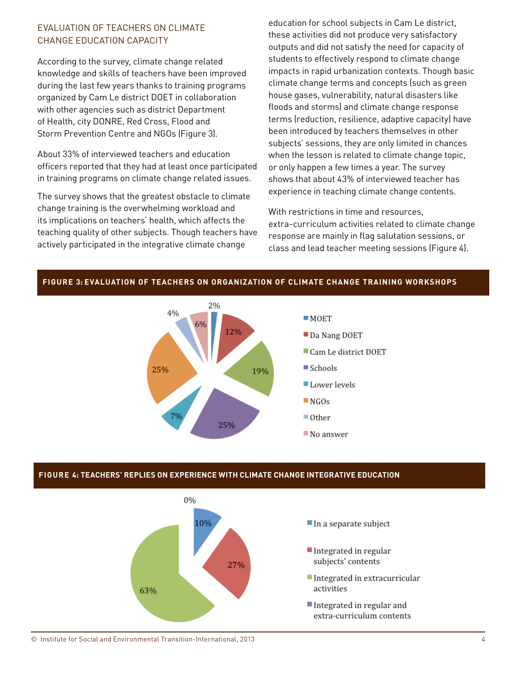## EVALUATION OF TEACHERS ON CLIMATE CHANGE EDUCATION CAPACITY

According to the survey, climate change related knowledge and skills of teachers have been improved during the last few years thanks to training programs organized by Cam Le district DOET in collaboration with other agencies such as district Department of Health, city DONRE, Red Cross, Flood and Storm Prevention Centre and NGOs (Figure 3).

About 33% of interviewed teachers and education officers reported that they had at least once participated in training programs on climate change related issues.

The survey shows that the greatest obstacle to climate change training is the overwhelming workload and its implications on teachers' health, which affects the teaching quality of other subjects. Though teachers have actively participated in the integrative climate change

education for school subjects in Cam Le district, these activities did not produce very satisfactory outputs and did not satisfy the need for capacity of students to effectively respond to climate change impacts in rapid urbanization contexts. Though basic climate change terms and concepts (such as green house gases, vulnerability, natural disasters like floods and storms) and climate change response terms (reduction, resilience, adaptive capacity) have been introduced by teachers themselves in other subjects' sessions, they are only limited in chances when the lesson is related to climate change topic, or only happen a few times a year. The survey shows that about 43% of interviewed teacher has experience in teaching climate change contents.

With restrictions in time and resources, extra-curriculum activities related to climate change response are mainly in flag salutation sessions, or class and lead teacher meeting sessions (Figure 4).



#### **Figure 3: EVALUATION OF TEACHERS ON ORGANIZATION OF CLIMATE CHANGE TRAINING WORKSHOPS**

#### **Figure 4: TEACHERS' REPLIES ON EXPERIENCE WITH CLIMATE CHANGE INTEGRATIVE EDUCATION**

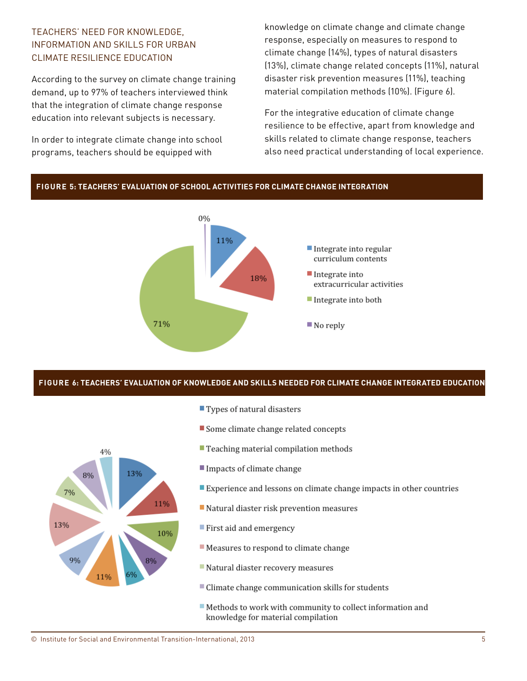## TEACHERS' NEED FOR KNOWLEDGE, INFORMATION AND SKILLS FOR URBAN CLIMATE RESILIENCE EDUCATION

According to the survey on climate change training demand, up to 97% of teachers interviewed think that the integration of climate change response education into relevant subjects is necessary.

In order to integrate climate change into school programs, teachers should be equipped with

knowledge on climate change and climate change response, especially on measures to respond to climate change (14%), types of natural disasters (13%), climate change related concepts (11%), natural disaster risk prevention measures (11%), teaching material compilation methods (10%). (Figure 6).

For the integrative education of climate change resilience to be effective, apart from knowledge and skills related to climate change response, teachers also need practical understanding of local experience.



#### **Figure 6: TEACHERS' EVALUATION OF KNOWLEDGE AND SKILLS NEEDED FOR CLIMATE CHANGE INTEGRATED EDUCATION**



- $\blacksquare$  Types of natural disasters
- Some climate change related concepts
- Teaching material compilation methods
- Impacts of climate change
- Experience and lessons on climate change impacts in other countries
- Natural diaster risk prevention measures
- First aid and emergency
- Reasures to respond to climate change
- Natural diaster recovery measures
- Climate change communication skills for students
- Methods to work with community to collect information and knowledge for material compilation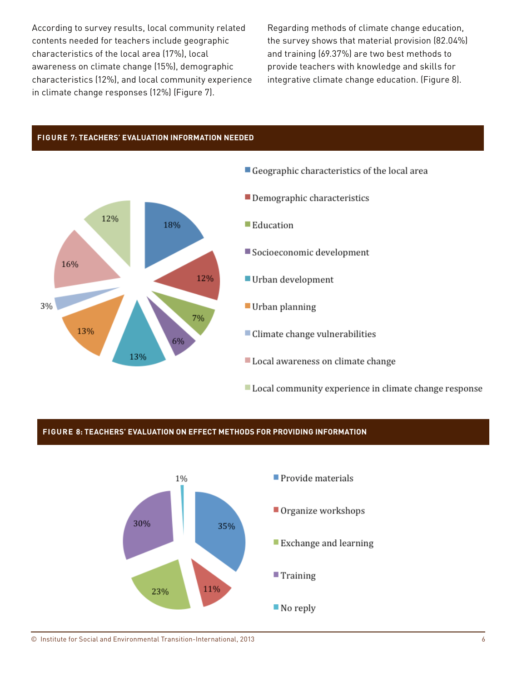According to survey results, local community related contents needed for teachers include geographic characteristics of the local area (17%), local awareness on climate change (15%), demographic characteristics (12%), and local community experience in climate change responses (12%) (Figure 7).

Regarding methods of climate change education, the survey shows that material provision (82.04%) and training (69.37%) are two best methods to provide teachers with knowledge and skills for integrative climate change education. (Figure 8).

#### **Figure 7: TEACHERS' EVALUATION INFORMATION NEEDED**



- Geographic characteristics of the local area
- Demographic characteristics
- Education
- Socioeconomic development
- Urban development
- Urban planning
- Climate change vulnerabilities
- Local awareness on climate change
- Local community experience in climate change response

#### **Figure 8: TEACHERS' EVALUATION ON EFFECT METHODS FOR PROVIDING INFORMATION**

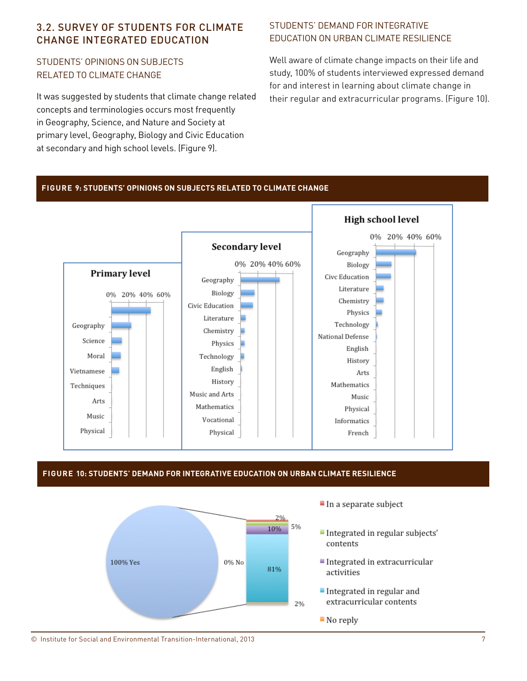## 3.2. SURVEY OF STUDENTS FOR CLIMATE CHANGE INTEGRATED EDUCATION

## STUDENTS' OPINIONS ON SUBJECTS RELATED TO CLIMATE CHANGE

It was suggested by students that climate change related concepts and terminologies occurs most frequently in Geography, Science, and Nature and Society at primary level, Geography, Biology and Civic Education at secondary and high school levels. (Figure 9).

## STUDENTS' DEMAND FOR INTEGRATIVE EDUCATION ON URBAN CLIMATE RESILIENCE

Well aware of climate change impacts on their life and study, 100% of students interviewed expressed demand for and interest in learning about climate change in their regular and extracurricular programs. (Figure 10).

#### **Figure 9: STUDENTS' OPINIONS ON SUBJECTS RELATED TO CLIMATE CHANGE**



#### **Figure 10: STUDENTS' DEMAND FOR INTEGRATIVE EDUCATION ON URBAN CLIMATE RESILIENCE**



- $\blacksquare$  In a separate subject
- Integrated in regular subjects' contents
- Integrated in extracurricular activities
- Integrated in regular and extracurricular contents
- No reply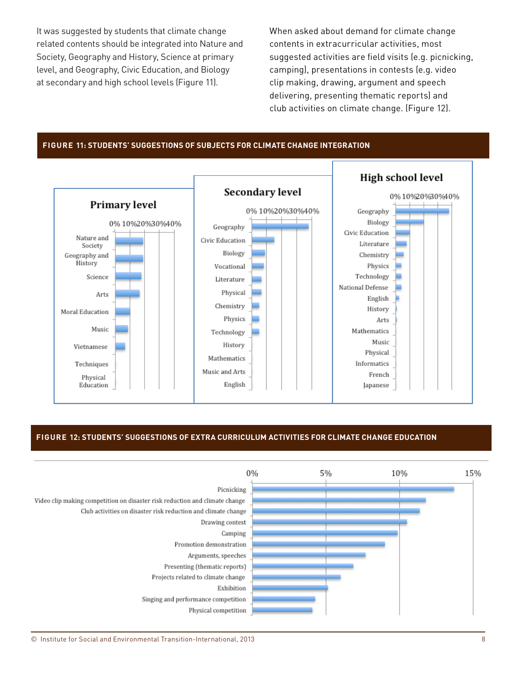It was suggested by students that climate change related contents should be integrated into Nature and Society, Geography and History, Science at primary level, and Geography, Civic Education, and Biology at secondary and high school levels (Figure 11).

When asked about demand for climate change contents in extracurricular activities, most suggested activities are field visits (e.g. picnicking, camping), presentations in contests (e.g. video clip making, drawing, argument and speech delivering, presenting thematic reports) and club activities on climate change. (Figure 12).

#### **Figure 11: STUDENTS' SUGGESTIONS OF SUBJECTS FOR CLIMATE CHANGE INTEGRATION**



#### **Figure 12: STUDENTS' SUGGESTIONS OF EXTRA CURRICULUM ACTIVITIES FOR CLIMATE CHANGE EDUCATION**

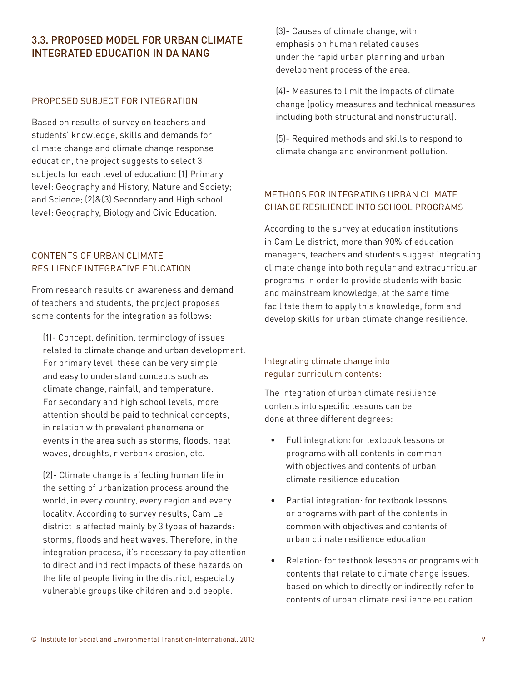## 3.3. PROPOSED MODEL FOR URBAN CLIMATE INTEGRATED EDUCATION IN DA NANG

#### PROPOSED SUBJECT FOR INTEGRATION

Based on results of survey on teachers and students' knowledge, skills and demands for climate change and climate change response education, the project suggests to select 3 subjects for each level of education: (1) Primary level: Geography and History, Nature and Society; and Science; (2)&(3) Secondary and High school level: Geography, Biology and Civic Education.

### CONTENTS OF URBAN CLIMATE RESILIENCE INTEGRATIVE EDUCATION

From research results on awareness and demand of teachers and students, the project proposes some contents for the integration as follows:

(1)- Concept, definition, terminology of issues related to climate change and urban development. For primary level, these can be very simple and easy to understand concepts such as climate change, rainfall, and temperature. For secondary and high school levels, more attention should be paid to technical concepts, in relation with prevalent phenomena or events in the area such as storms, floods, heat waves, droughts, riverbank erosion, etc.

(2)- Climate change is affecting human life in the setting of urbanization process around the world, in every country, every region and every locality. According to survey results, Cam Le district is affected mainly by 3 types of hazards: storms, floods and heat waves. Therefore, in the integration process, it's necessary to pay attention to direct and indirect impacts of these hazards on the life of people living in the district, especially vulnerable groups like children and old people.

(3)- Causes of climate change, with emphasis on human related causes under the rapid urban planning and urban development process of the area.

(4)- Measures to limit the impacts of climate change (policy measures and technical measures including both structural and nonstructural).

(5)- Required methods and skills to respond to climate change and environment pollution.

## METHODS FOR INTEGRATING URBAN CLIMATE CHANGE RESILIENCE INTO SCHOOL PROGRAMS

According to the survey at education institutions in Cam Le district, more than 90% of education managers, teachers and students suggest integrating climate change into both regular and extracurricular programs in order to provide students with basic and mainstream knowledge, at the same time facilitate them to apply this knowledge, form and develop skills for urban climate change resilience.

## Integrating climate change into regular curriculum contents:

The integration of urban climate resilience contents into specific lessons can be done at three different degrees:

- Full integration: for textbook lessons or programs with all contents in common with objectives and contents of urban climate resilience education
- Partial integration: for textbook lessons or programs with part of the contents in common with objectives and contents of urban climate resilience education
- Relation: for textbook lessons or programs with contents that relate to climate change issues, based on which to directly or indirectly refer to contents of urban climate resilience education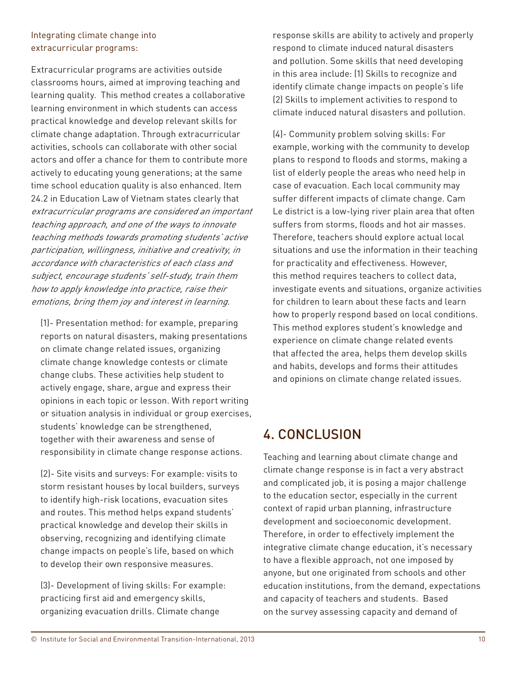## Integrating climate change into extracurricular programs:

Extracurricular programs are activities outside classrooms hours, aimed at improving teaching and learning quality. This method creates a collaborative learning environment in which students can access practical knowledge and develop relevant skills for climate change adaptation. Through extracurricular activities, schools can collaborate with other social actors and offer a chance for them to contribute more actively to educating young generations; at the same time school education quality is also enhanced. Item 24.2 in Education Law of Vietnam states clearly that extracurricular programs are considered an important teaching approach, and one of the ways to innovate teaching methods towards promoting students' active participation, willingness, initiative and creativity, in accordance with characteristics of each class and subject, encourage students' self-study, train them how to apply knowledge into practice, raise their emotions, bring them joy and interest in learning.

(1)- Presentation method: for example, preparing reports on natural disasters, making presentations on climate change related issues, organizing climate change knowledge contests or climate change clubs. These activities help student to actively engage, share, argue and express their opinions in each topic or lesson. With report writing or situation analysis in individual or group exercises, students' knowledge can be strengthened, together with their awareness and sense of responsibility in climate change response actions.

(2)- Site visits and surveys: For example: visits to storm resistant houses by local builders, surveys to identify high-risk locations, evacuation sites and routes. This method helps expand students' practical knowledge and develop their skills in observing, recognizing and identifying climate change impacts on people's life, based on which to develop their own responsive measures.

(3)- Development of living skills: For example: practicing first aid and emergency skills, organizing evacuation drills. Climate change

response skills are ability to actively and properly respond to climate induced natural disasters and pollution. Some skills that need developing in this area include: (1) Skills to recognize and identify climate change impacts on people's life (2) Skills to implement activities to respond to climate induced natural disasters and pollution.

(4)- Community problem solving skills: For example, working with the community to develop plans to respond to floods and storms, making a list of elderly people the areas who need help in case of evacuation. Each local community may suffer different impacts of climate change. Cam Le district is a low-lying river plain area that often suffers from storms, floods and hot air masses. Therefore, teachers should explore actual local situations and use the information in their teaching for practicality and effectiveness. However, this method requires teachers to collect data, investigate events and situations, organize activities for children to learn about these facts and learn how to properly respond based on local conditions. This method explores student's knowledge and experience on climate change related events that affected the area, helps them develop skills and habits, develops and forms their attitudes and opinions on climate change related issues.

# 4. CONCLUSION

Teaching and learning about climate change and climate change response is in fact a very abstract and complicated job, it is posing a major challenge to the education sector, especially in the current context of rapid urban planning, infrastructure development and socioeconomic development. Therefore, in order to effectively implement the integrative climate change education, it's necessary to have a flexible approach, not one imposed by anyone, but one originated from schools and other education institutions, from the demand, expectations and capacity of teachers and students. Based on the survey assessing capacity and demand of